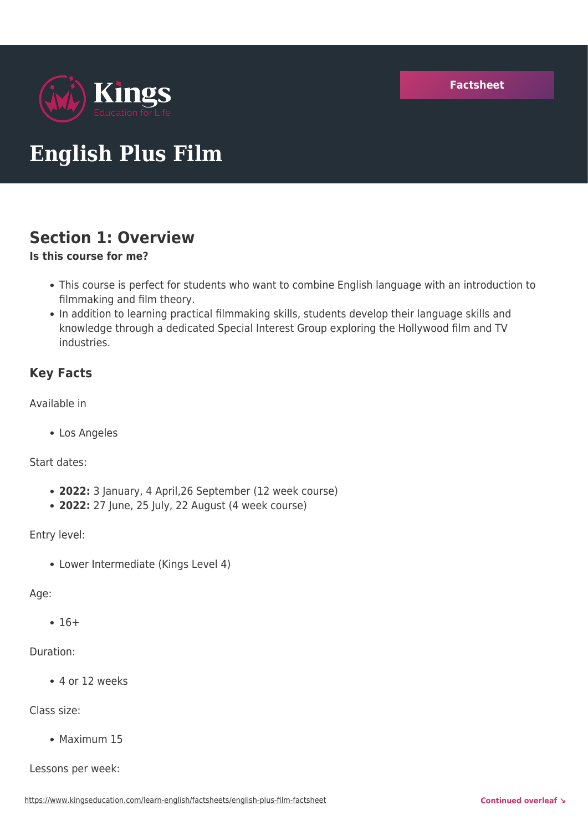

# **English Plus Film**

# **Section 1: Overview**

### **Is this course for me?**

- This course is perfect for students who want to combine English language with an introduction to filmmaking and film theory.
- In addition to learning practical filmmaking skills, students develop their language skills and knowledge through a dedicated Special Interest Group exploring the Hollywood film and TV industries.

### **Key Facts**

Available in

Los Angeles

Start dates:

- **2022:** 3 January, 4 April,26 September (12 week course)
- **2022:** 27 June, 25 July, 22 August (4 week course)

Entry level:

Lower Intermediate (Kings Level 4)

### Age:

 $• 16+$ 

### Duration:

4 or 12 weeks

Class size:

• Maximum 15

Lessons per week: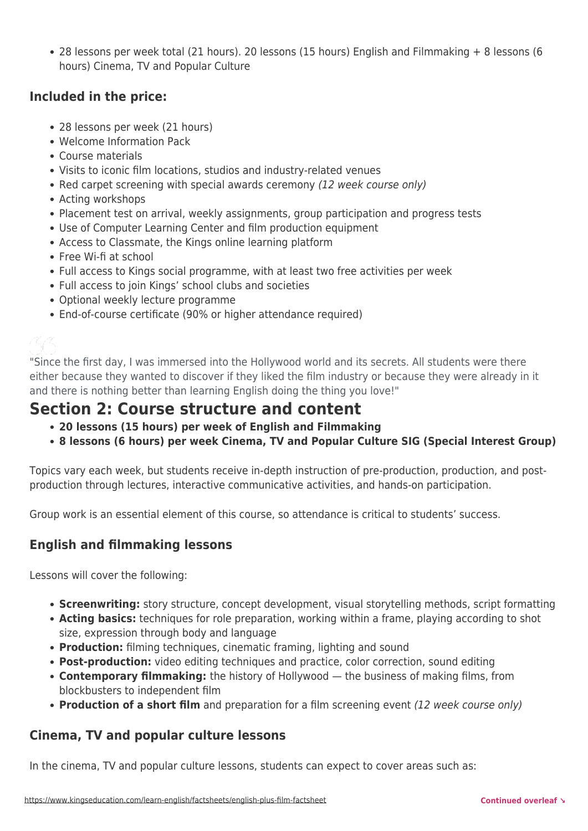28 lessons per week total (21 hours). 20 lessons (15 hours) English and Filmmaking + 8 lessons (6 hours) Cinema, TV and Popular Culture

### **Included in the price:**

- 28 lessons per week (21 hours)
- Welcome Information Pack
- Course materials
- Visits to iconic film locations, studios and industry-related venues
- Red carpet screening with special awards ceremony (12 week course only)
- Acting workshops
- Placement test on arrival, weekly assignments, group participation and progress tests
- Use of Computer Learning Center and film production equipment
- Access to Classmate, the Kings online learning platform
- Free Wi-fi at school
- Full access to Kings social programme, with at least two free activities per week
- Full access to join Kings' school clubs and societies
- Optional weekly lecture programme
- End-of-course certificate (90% or higher attendance required)

# Ķζ

"Since the first day, I was immersed into the Hollywood world and its secrets. All students were there either because they wanted to discover if they liked the film industry or because they were already in it and there is nothing better than learning English doing the thing you love!"

## **Section 2: Course structure and content**

- **20 lessons (15 hours) per week of English and Filmmaking**
- **8 lessons (6 hours) per week Cinema, TV and Popular Culture SIG (Special Interest Group)**

Topics vary each week, but students receive in-depth instruction of pre-production, production, and postproduction through lectures, interactive communicative activities, and hands-on participation.

Group work is an essential element of this course, so attendance is critical to students' success.

### **English and filmmaking lessons**

Lessons will cover the following:

- **Screenwriting:** story structure, concept development, visual storytelling methods, script formatting
- **Acting basics:** techniques for role preparation, working within a frame, playing according to shot size, expression through body and language
- **Production:** filming techniques, cinematic framing, lighting and sound
- **Post-production:** video editing techniques and practice, color correction, sound editing
- **Contemporary filmmaking:** the history of Hollywood the business of making films, from blockbusters to independent film
- **Production of a short film** and preparation for a film screening event (12 week course only)

### **Cinema, TV and popular culture lessons**

In the cinema, TV and popular culture lessons, students can expect to cover areas such as: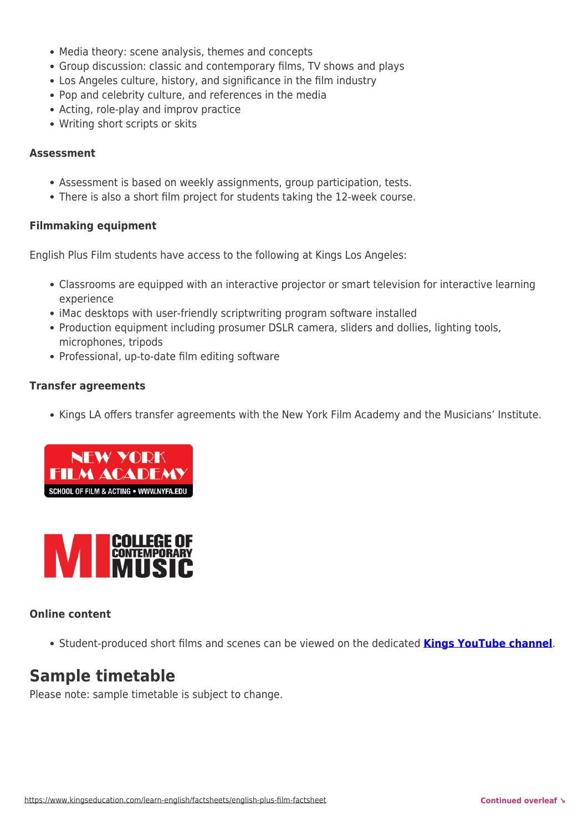- Media theory: scene analysis, themes and concepts
- Group discussion: classic and contemporary films, TV shows and plays
- Los Angeles culture, history, and significance in the film industry
- Pop and celebrity culture, and references in the media
- Acting, role-play and improv practice
- Writing short scripts or skits

#### **Assessment**

- Assessment is based on weekly assignments, group participation, tests.
- There is also a short film project for students taking the 12-week course.

#### **Filmmaking equipment**

English Plus Film students have access to the following at Kings Los Angeles:

- Classrooms are equipped with an interactive projector or smart television for interactive learning experience
- iMac desktops with user-friendly scriptwriting program software installed
- Production equipment including prosumer DSLR camera, sliders and dollies, lighting tools, microphones, tripods
- Professional, up-to-date film editing software

#### **Transfer agreements**

• Kings LA offers transfer agreements with the New York Film Academy and the Musicians' Institute.





### **Online content**

Student-produced short films and scenes can be viewed on the dedicated **[Kings YouTube channel](https://www.youtube.com/channel/UCF-_B4854oPIxkktCBk26EA/videos)**.

# **Sample timetable**

Please note: sample timetable is subject to change.